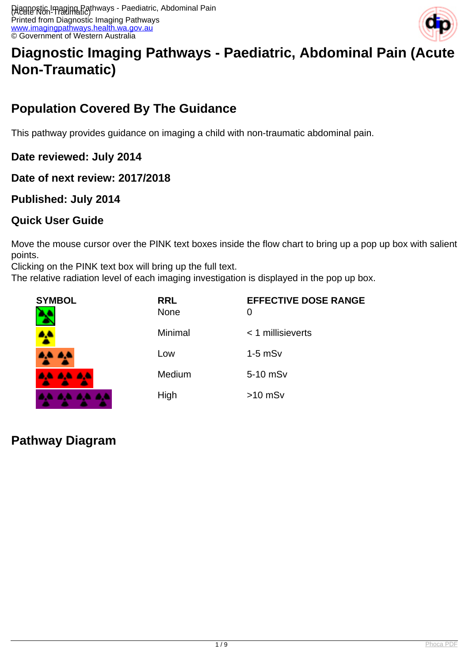

# **Diagnostic Imaging Pathways - Paediatric, Abdominal Pain (Acute Non-Traumatic)**

# **Population Covered By The Guidance**

This pathway provides guidance on imaging a child with non-traumatic abdominal pain.

**Date reviewed: July 2014**

**Date of next review: 2017/2018**

### **Published: July 2014**

### **Quick User Guide**

Move the mouse cursor over the PINK text boxes inside the flow chart to bring up a pop up box with salient points.

Clicking on the PINK text box will bring up the full text.

The relative radiation level of each imaging investigation is displayed in the pop up box.

| <b>SYMBOL</b><br>r. | <b>RRL</b><br>None | <b>EFFECTIVE DOSE RANGE</b><br>0 |
|---------------------|--------------------|----------------------------------|
|                     | Minimal            | < 1 millisieverts                |
| $\triangle$         | Low                | $1-5$ mSv                        |
| <b>AA AA AA</b>     | Medium             | 5-10 mSv                         |
|                     | High               | $>10$ mSv                        |

**Pathway Diagram**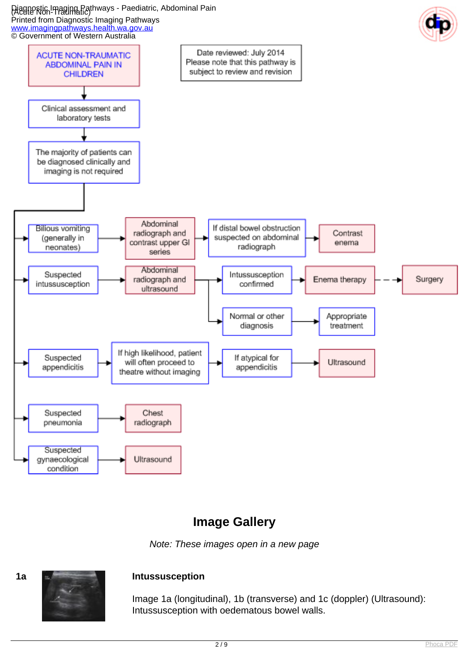#### Diagnostic Imaging Pathways - Paediatric, Abdominal Pain (Acute Non-Traumatic) Printed from Diagnostic Imaging Pathways



# **Image Gallery**

Note: These images open in a new page



Image 1a (longitudinal), 1b (transverse) and 1c (doppler) (Ultrasound): Intussusception with oedematous bowel walls.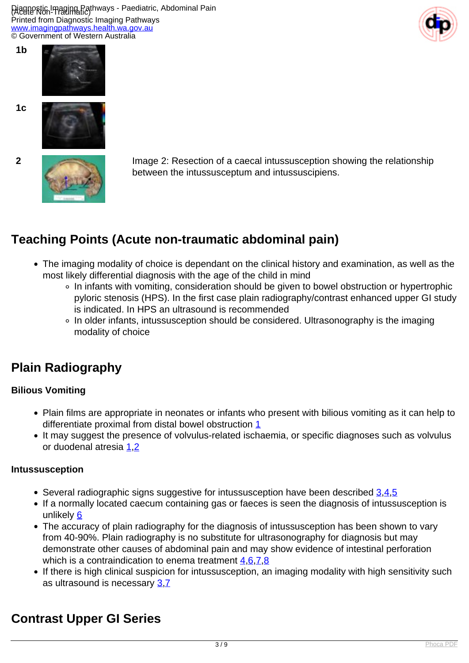Piagnostic Imaging Pathways - Paediatric, Abdominal Pain Printed from Diagnostic Imaging Pathways [www.imagingpathways.health.wa.gov.au](http://www.imagingpathways.health.wa.gov.au/) © Government of Western Australia





**1b**

**1c**





**2** Image 2: Resection of a caecal intussusception showing the relationship between the intussusceptum and intussuscipiens.

# **Teaching Points (Acute non-traumatic abdominal pain)**

- The imaging modality of choice is dependant on the clinical history and examination, as well as the most likely differential diagnosis with the age of the child in mind
	- In infants with vomiting, consideration should be given to bowel obstruction or hypertrophic pyloric stenosis (HPS). In the first case plain radiography/contrast enhanced upper GI study is indicated. In HPS an ultrasound is recommended
	- In older infants, intussusception should be considered. Ultrasonography is the imaging modality of choice

### **Plain Radiography**

#### **Bilious Vomiting**

- Plain films are appropriate in neonates or infants who present with bilious vomiting as it can help to differentiate proximal from distal bowel obstruction [1](index.php?option=com_content&view=article&id=188&tab=references#1)
- It may suggest the presence of volvulus-related ischaemia, or specific diagnoses such as volvulus or duodenal atresia [1](index.php?option=com_content&view=article&id=188&tab=references#1)[,2](index.php?option=com_content&view=article&id=188&tab=references#2)

#### **Intussusception**

- Several radiographic signs suggestive for intussusception have been described  $3.4.5$  $3.4.5$  $3.4.5$  $3.4.5$  $3.4.5$
- If a normally located caecum containing gas or faeces is seen the diagnosis of intussusception is unlikely [6](index.php?option=com_content&view=article&id=188&tab=references#6)
- The accuracy of plain radiography for the diagnosis of intussusception has been shown to vary from 40-90%. Plain radiography is no substitute for ultrasonography for diagnosis but may demonstrate other causes of abdominal pain and may show evidence of intestinal perforation which is a contraindication to enema treatment [4,](index.php?option=com_content&view=article&id=188&tab=references#4)[6,](index.php?option=com_content&view=article&id=188&tab=references#6)[7,](index.php?option=com_content&view=article&id=188&tab=references#7)[8](index.php?option=com_content&view=article&id=188&tab=references#8)
- If there is high clinical suspicion for intussusception, an imaging modality with high sensitivity such as ultrasound is necessary [3](index.php?option=com_content&view=article&id=188&tab=references#3),[7](index.php?option=com_content&view=article&id=188&tab=references#7)

# **Contrast Upper GI Series**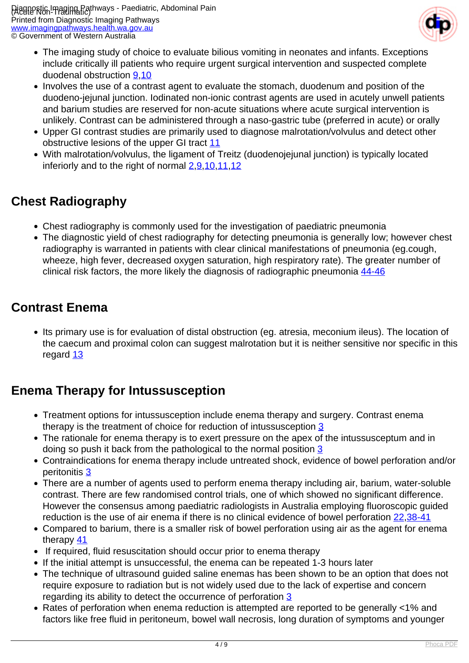

- The imaging study of choice to evaluate bilious vomiting in neonates and infants. Exceptions include critically ill patients who require urgent surgical intervention and suspected complete duodenal obstruction [9,](index.php?option=com_content&view=article&id=188&tab=references#9)[10](index.php?option=com_content&view=article&id=188&tab=references#10)
- Involves the use of a contrast agent to evaluate the stomach, duodenum and position of the duodeno-jejunal junction. Iodinated non-ionic contrast agents are used in acutely unwell patients and barium studies are reserved for non-acute situations where acute surgical intervention is unlikely. Contrast can be administered through a naso-gastric tube (preferred in acute) or orally
- Upper GI contrast studies are primarily used to diagnose malrotation/volvulus and detect other obstructive lesions of the upper GI tract [11](index.php?option=com_content&view=article&id=188&tab=references#11)
- With malrotation/volvulus, the ligament of Treitz (duodenojejunal junction) is typically located inferiorly and to the right of normal  $2,9,10,11,12$  $2,9,10,11,12$  $2,9,10,11,12$  $2,9,10,11,12$  $2,9,10,11,12$  $2,9,10,11,12$  $2,9,10,11,12$

# **Chest Radiography**

- Chest radiography is commonly used for the investigation of paediatric pneumonia
- The diagnostic yield of chest radiography for detecting pneumonia is generally low; however chest radiography is warranted in patients with clear clinical manifestations of pneumonia (eg.cough, wheeze, high fever, decreased oxygen saturation, high respiratory rate). The greater number of clinical risk factors, the more likely the diagnosis of radiographic pneumonia [44-46](index.php?option=com_content&view=article&id=188&tab=references#44)

### **Contrast Enema**

• Its primary use is for evaluation of distal obstruction (eg. atresia, meconium ileus). The location of the caecum and proximal colon can suggest malrotation but it is neither sensitive nor specific in this regard [13](index.php?option=com_content&view=article&id=188&tab=references#13)

# **Enema Therapy for Intussusception**

- Treatment options for intussusception include enema therapy and surgery. Contrast enema therapy is the treatment of choice for reduction of intussusception [3](index.php?option=com_content&view=article&id=188&tab=references#3)
- The rationale for enema therapy is to exert pressure on the apex of the intussusceptum and in doing so push it back from the pathological to the normal position [3](index.php?option=com_content&view=article&id=188&tab=references#3)
- Contraindications for enema therapy include untreated shock, evidence of bowel perforation and/or peritonitis [3](index.php?option=com_content&view=article&id=188&tab=references#3)
- There are a number of agents used to perform enema therapy including air, barium, water-soluble contrast. There are few randomised control trials, one of which showed no significant difference. However the consensus among paediatric radiologists in Australia employing fluoroscopic guided reduction is the use of air enema if there is no clinical evidence of bowel perforation [22](index.php?option=com_content&view=article&id=188&tab=references#22)[,38-41](index.php?option=com_content&view=article&id=188&tab=references#38)
- Compared to barium, there is a smaller risk of bowel perforation using air as the agent for enema therapy  $41$
- If required, fluid resuscitation should occur prior to enema therapy
- If the initial attempt is unsuccessful, the enema can be repeated 1-3 hours later
- The technique of ultrasound guided saline enemas has been shown to be an option that does not require exposure to radiation but is not widely used due to the lack of expertise and concern regarding its ability to detect the occurrence of perforation [3](index.php?option=com_content&view=article&id=188&tab=references#3)
- Rates of perforation when enema reduction is attempted are reported to be generally <1% and factors like free fluid in peritoneum, bowel wall necrosis, long duration of symptoms and younger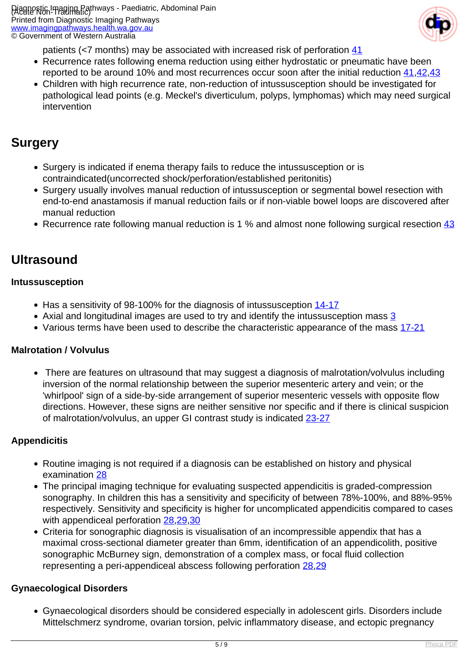

patients (<7 months) may be associated with increased risk of perforation [41](index.php?option=com_content&view=article&id=188&tab=references#41)

- Recurrence rates following enema reduction using either hydrostatic or pneumatic have been reported to be around 10% and most recurrences occur soon after the initial reduction  $41,42,43$  $41,42,43$  $41,42,43$  $41,42,43$
- Children with high recurrence rate, non-reduction of intussusception should be investigated for pathological lead points (e.g. Meckel's diverticulum, polyps, lymphomas) which may need surgical intervention

### **Surgery**

- Surgery is indicated if enema therapy fails to reduce the intussusception or is contraindicated(uncorrected shock/perforation/established peritonitis)
- Surgery usually involves manual reduction of intussusception or segmental bowel resection with end-to-end anastamosis if manual reduction fails or if non-viable bowel loops are discovered after manual reduction
- Recurrence rate following manual reduction is 1 % and almost none following surgical resection [43](index.php?option=com_content&view=article&id=188&tab=references#43)

### **Ultrasound**

#### **Intussusception**

- Has a sensitivity of 98-100% for the diagnosis of intussusception [14-17](index.php?option=com_content&view=article&id=188&tab=references#14)
- Axial and longitudinal images are used to try and identify the intussusception mass [3](index.php?option=com_content&view=article&id=188&tab=references#3)
- Various terms have been used to describe the characteristic appearance of the mass [17-21](index.php?option=com_content&view=article&id=188&tab=references#17)

#### **Malrotation / Volvulus**

• There are features on ultrasound that may suggest a diagnosis of malrotation/volvulus including inversion of the normal relationship between the superior mesenteric artery and vein; or the 'whirlpool' sign of a side-by-side arrangement of superior mesenteric vessels with opposite flow directions. However, these signs are neither sensitive nor specific and if there is clinical suspicion of malrotation/volvulus, an upper GI contrast study is indicated [23-27](index.php?option=com_content&view=article&id=188&tab=references#23)

#### **Appendicitis**

- Routine imaging is not required if a diagnosis can be established on history and physical examination [28](index.php?option=com_content&view=article&id=188&tab=references#28)
- The principal imaging technique for evaluating suspected appendicitis is graded-compression sonography. In children this has a sensitivity and specificity of between 78%-100%, and 88%-95% respectively. Sensitivity and specificity is higher for uncomplicated appendicitis compared to cases with appendiceal perforation [28](index.php?option=com_content&view=article&id=188&tab=references#28)[,29,](index.php?option=com_content&view=article&id=188&tab=references#29)[30](index.php?option=com_content&view=article&id=188&tab=references#30)
- Criteria for sonographic diagnosis is visualisation of an incompressible appendix that has a maximal cross-sectional diameter greater than 6mm, identification of an appendicolith, positive sonographic McBurney sign, demonstration of a complex mass, or focal fluid collection representing a peri-appendiceal abscess following perforation [28,](index.php?option=com_content&view=article&id=188&tab=references#28)[29](index.php?option=com_content&view=article&id=188&tab=references#29)

#### **Gynaecological Disorders**

Gynaecological disorders should be considered especially in adolescent girls. Disorders include Mittelschmerz syndrome, ovarian torsion, pelvic inflammatory disease, and ectopic pregnancy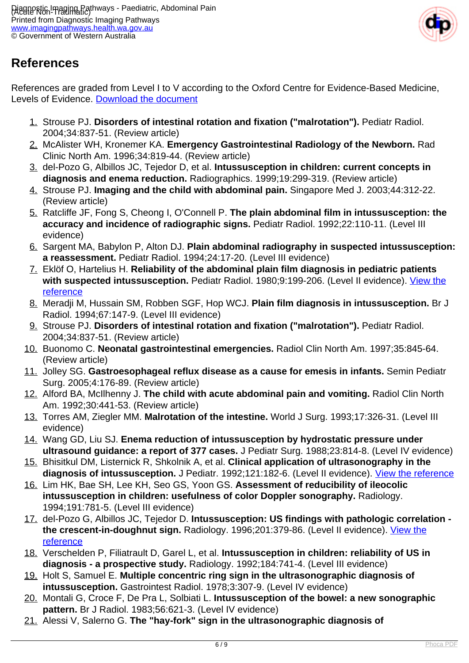

# **References**

References are graded from Level I to V according to the Oxford Centre for Evidence-Based Medicine, Levels of Evidence. [Download the document](http://www.cebm.net/wp-content/uploads/2014/06/CEBM-Levels-of-Evidence-2.1.pdf)

- 1. Strouse PJ. **Disorders of intestinal rotation and fixation ("malrotation").** Pediatr Radiol. 2004;34:837-51. (Review article)
- 2. McAlister WH, Kronemer KA. **Emergency Gastrointestinal Radiology of the Newborn.** Rad Clinic North Am. 1996;34:819-44. (Review article)
- 3. del-Pozo G, Albillos JC, Tejedor D, et al. **Intussusception in children: current concepts in diagnosis and enema reduction.** Radiographics. 1999;19:299-319. (Review article)
- 4. Strouse PJ. **Imaging and the child with abdominal pain.** Singapore Med J. 2003;44:312-22. (Review article)
- 5. Ratcliffe JF, Fong S, Cheong I, O'Connell P. **The plain abdominal film in intussusception: the accuracy and incidence of radiographic signs.** Pediatr Radiol. 1992;22:110-11. (Level III evidence)
- 6. Sargent MA, Babylon P, Alton DJ. **Plain abdominal radiography in suspected intussusception: a reassessment.** Pediatr Radiol. 1994;24:17-20. (Level III evidence)
- 7. Eklöf O, Hartelius H. **Reliability of the abdominal plain film diagnosis in pediatric patients with suspected intussusception.** Pediatr Radiol. 1980;9:199-206. (Level II evidence). [View the](http://www.ncbi.nlm.nih.gov/entrez/query.fcgi?cmd=Retrieve&db=pubmed&dopt=Abstract&list_uids=7402744) [reference](http://www.ncbi.nlm.nih.gov/entrez/query.fcgi?cmd=Retrieve&db=pubmed&dopt=Abstract&list_uids=7402744)
- 8. Meradji M, Hussain SM, Robben SGF, Hop WCJ. **Plain film diagnosis in intussusception.** Br J Radiol. 1994;67:147-9. (Level III evidence)
- 9. Strouse PJ. **Disorders of intestinal rotation and fixation ("malrotation").** Pediatr Radiol. 2004;34:837-51. (Review article)
- 10. Buonomo C. **Neonatal gastrointestinal emergencies.** Radiol Clin North Am. 1997;35:845-64. (Review article)
- 11. Jolley SG. **Gastroesophageal reflux disease as a cause for emesis in infants.** Semin Pediatr Surg. 2005;4:176-89. (Review article)
- 12. Alford BA, McIlhenny J. **The child with acute abdominal pain and vomiting.** Radiol Clin North Am. 1992;30:441-53. (Review article)
- 13. Torres AM, Ziegler MM. **Malrotation of the intestine.** World J Surg. 1993;17:326-31. (Level III evidence)
- 14. Wang GD, Liu SJ. **Enema reduction of intussusception by hydrostatic pressure under ultrasound guidance: a report of 377 cases.** J Pediatr Surg. 1988;23:814-8. (Level IV evidence)
- 15. Bhisitkul DM, Listernick R, Shkolnik A, et al. **Clinical application of ultrasonography in the** diagnosis of intussusception. J Pediatr. 1992;121:182-6. (Level II evidence). [View the reference](http://www.ncbi.nlm.nih.gov/entrez/query.fcgi?cmd=Retrieve&db=pubmed&dopt=Abstract&list_uids=1640281)
- 16. Lim HK, Bae SH, Lee KH, Seo GS, Yoon GS. **Assessment of reducibility of ileocolic intussusception in children: usefulness of color Doppler sonography.** Radiology. 1994;191:781-5. (Level III evidence)
- 17. del-Pozo G, Albillos JC, Tejedor D. **Intussusception: US findings with pathologic correlation the crescent-in-doughnut sign.** Radiology. 1996;201:379-86. (Level II evidence). [View the](http://www.ncbi.nlm.nih.gov/entrez/query.fcgi?orig_db=PubMed&db=PubMed&cmd=Search&defaultField=Title+Word&term=Intussusception%3A+US+findings+with+pathologic+correlation+-+the+crescent-in-doughnut+sign) [reference](http://www.ncbi.nlm.nih.gov/entrez/query.fcgi?orig_db=PubMed&db=PubMed&cmd=Search&defaultField=Title+Word&term=Intussusception%3A+US+findings+with+pathologic+correlation+-+the+crescent-in-doughnut+sign)
- 18. Verschelden P, Filiatrault D, Garel L, et al. **Intussusception in children: reliability of US in diagnosis - a prospective study.** Radiology. 1992;184:741-4. (Level III evidence)
- 19. Holt S, Samuel E. **Multiple concentric ring sign in the ultrasonographic diagnosis of intussusception.** Gastrointest Radiol. 1978;3:307-9. (Level IV evidence)
- 20. Montali G, Croce F, De Pra L, Solbiati L. **Intussusception of the bowel: a new sonographic pattern.** Br J Radiol. 1983;56:621-3. (Level IV evidence)
- 21. Alessi V, Salerno G. **The "hay-fork" sign in the ultrasonographic diagnosis of**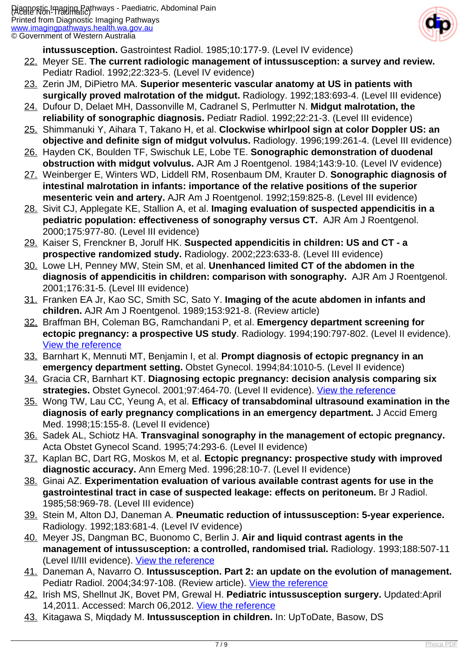

**intussusception.** Gastrointest Radiol. 1985;10:177-9. (Level IV evidence)

- 22. Meyer SE. **The current radiologic management of intussusception: a survey and review.** Pediatr Radiol. 1992;22:323-5. (Level IV evidence)
- 23. Zerin JM, DiPietro MA. **Superior mesenteric vascular anatomy at US in patients with surgically proved malrotation of the midgut.** Radiology. 1992;183:693-4. (Level III evidence)
- 24. Dufour D, Delaet MH, Dassonville M, Cadranel S, Perlmutter N. **Midgut malrotation, the reliability of sonographic diagnosis.** Pediatr Radiol. 1992;22:21-3. (Level III evidence)
- 25. Shimmanuki Y, Aihara T, Takano H, et al. **Clockwise whirlpool sign at color Doppler US: an objective and definite sign of midgut volvulus.** Radiology. 1996;199:261-4. (Level III evidence)
- 26. Hayden CK, Boulden TF, Swischuk LE, Lobe TE. **Sonographic demonstration of duodenal obstruction with midgut volvulus.** AJR Am J Roentgenol. 1984;143:9-10. (Level IV evidence)
- 27. Weinberger E, Winters WD, Liddell RM, Rosenbaum DM, Krauter D. **Sonographic diagnosis of intestinal malrotation in infants: importance of the relative positions of the superior mesenteric vein and artery.** AJR Am J Roentgenol. 1992;159:825-8. (Level III evidence)
- 28. Sivit CJ, Applegate KE, Stallion A, et al. **Imaging evaluation of suspected appendicitis in a pediatric population: effectiveness of sonography versus CT.** AJR Am J Roentgenol. 2000;175:977-80. (Level III evidence)
- 29. Kaiser S, Frenckner B, Jorulf HK. **Suspected appendicitis in children: US and CT a prospective randomized study.** Radiology. 2002;223:633-8. (Level III evidence)
- 30. Lowe LH, Penney MW, Stein SM, et al. **Unenhanced limited CT of the abdomen in the diagnosis of appendicitis in children: comparison with sonography.** AJR Am J Roentgenol. 2001;176:31-5. (Level III evidence)
- 31. Franken EA Jr, Kao SC, Smith SC, Sato Y. **Imaging of the acute abdomen in infants and children.** AJR Am J Roentgenol. 1989;153:921-8. (Review article)
- 32. Braffman BH, Coleman BG, Ramchandani P, et al. **Emergency department screening for ectopic pregnancy: a prospective US study**. Radiology. 1994;190:797-802. (Level II evidence). [View the reference](http://www.ncbi.nlm.nih.gov/entrez/query.fcgi?orig_db=PubMed&db=PubMed&cmd=Search&defaultField=Title+Word&term=Emergency+department+screening+for+ectopic+pregnancy%3A+a+prospective+US+study)
- 33. Barnhart K, Mennuti MT, Benjamin I, et al. **Prompt diagnosis of ectopic pregnancy in an emergency department setting.** Obstet Gynecol. 1994;84:1010-5. (Level II evidence)
- 34. Gracia CR, Barnhart KT. **Diagnosing ectopic pregnancy: decision analysis comparing six** strategies. Obstet Gynecol. 2001;97:464-70. (Level II evidence). [View the reference](http://www.ncbi.nlm.nih.gov/entrez/query.fcgi?cmd=Retrieve&db=pubmed&dopt=Abstract&list_uids=11239658)
- 35. Wong TW, Lau CC, Yeung A, et al. **Efficacy of transabdominal ultrasound examination in the diagnosis of early pregnancy complications in an emergency department.** J Accid Emerg Med. 1998;15:155-8. (Level II evidence)
- 36. Sadek AL, Schiotz HA. **Transvaginal sonography in the management of ectopic pregnancy.** Acta Obstet Gynecol Scand. 1995;74:293-6. (Level II evidence)
- 37. Kaplan BC, Dart RG, Moskos M, et al. **Ectopic pregnancy: prospective study with improved diagnostic accuracy.** Ann Emerg Med. 1996;28:10-7. (Level II evidence)
- 38. Ginai AZ. **Experimentation evaluation of various available contrast agents for use in the gastrointestinal tract in case of suspected leakage: effects on peritoneum.** Br J Radiol. 1985;58:969-78. (Level III evidence)
- 39. Stein M, Alton DJ, Daneman A. **Pneumatic reduction of intussusception: 5-year experience.** Radiology. 1992;183:681-4. (Level IV evidence)
- 40. Meyer JS, Dangman BC, Buonomo C, Berlin J. **Air and liquid contrast agents in the management of intussusception: a controlled, randomised trial.** Radiology. 1993;188:507-11 (Level II/III evidence). [View the reference](http://www.ncbi.nlm.nih.gov/entrez/query.fcgi?orig_db=PubMed&db=PubMed&cmd=Search&term=%22Radiology%22%5BJour%5D+AND+188%5Bvolume%5D+AND+507%5Bpage%5D+AND+1993%5Bpdat%5D)
- 41. Daneman A, Navarro O. **Intussusception. Part 2: an update on the evolution of management.** Pediatr Radiol. 2004;34:97-108. (Review article). [View the reference](http://www.ncbi.nlm.nih.gov/entrez/query.fcgi?cmd=Retrieve&db=pubmed&dopt=Abstract&list_uids=14634696)
- 42. Irish MS, Shellnut JK, Bovet PM, Grewal H. **Pediatric intussusception surgery.** Updated:April 14,2011. Accessed: March 06,2012. [View the reference](http://emedicine.medscape.com/article/937730-overview)
- 43. Kitagawa S, Miqdady M. **Intussusception in children.** In: UpToDate, Basow, DS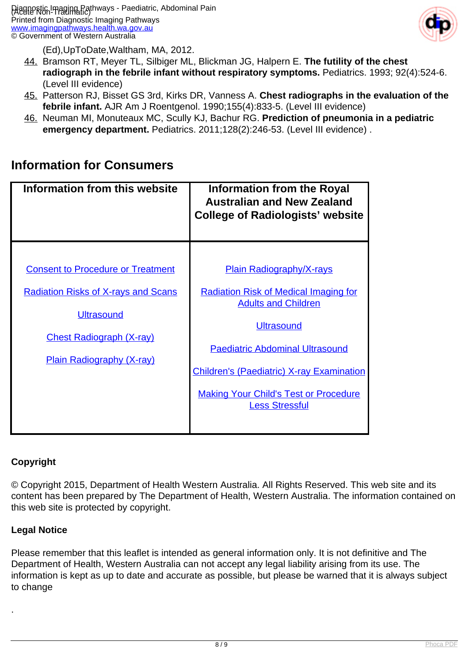

(Ed),UpToDate,Waltham, MA, 2012.

- 44. Bramson RT, Meyer TL, Silbiger ML, Blickman JG, Halpern E. **The futility of the chest radiograph in the febrile infant without respiratory symptoms.** Pediatrics. 1993; 92(4):524-6. (Level III evidence)
- 45. Patterson RJ, Bisset GS 3rd, Kirks DR, Vanness A. **Chest radiographs in the evaluation of the febrile infant.** AJR Am J Roentgenol. 1990;155(4):833-5. (Level III evidence)
- 46. Neuman MI, Monuteaux MC, Scully KJ, Bachur RG. **Prediction of pneumonia in a pediatric emergency department.** Pediatrics. 2011;128(2):246-53. (Level III evidence) .

### **Information for Consumers**

| Information from this website                                                                                                                                                      | <b>Information from the Royal</b><br><b>Australian and New Zealand</b><br><b>College of Radiologists' website</b>                                                                                                                                                                                         |
|------------------------------------------------------------------------------------------------------------------------------------------------------------------------------------|-----------------------------------------------------------------------------------------------------------------------------------------------------------------------------------------------------------------------------------------------------------------------------------------------------------|
| <b>Consent to Procedure or Treatment</b><br><b>Radiation Risks of X-rays and Scans</b><br><b>Ultrasound</b><br><b>Chest Radiograph (X-ray)</b><br><b>Plain Radiography (X-ray)</b> | <b>Plain Radiography/X-rays</b><br><b>Radiation Risk of Medical Imaging for</b><br><b>Adults and Children</b><br><b>Ultrasound</b><br><b>Paediatric Abdominal Ultrasound</b><br><b>Children's (Paediatric) X-ray Examination</b><br><b>Making Your Child's Test or Procedure</b><br><b>Less Stressful</b> |

#### **Copyright**

© Copyright 2015, Department of Health Western Australia. All Rights Reserved. This web site and its content has been prepared by The Department of Health, Western Australia. The information contained on this web site is protected by copyright.

#### **Legal Notice**

.

Please remember that this leaflet is intended as general information only. It is not definitive and The Department of Health, Western Australia can not accept any legal liability arising from its use. The information is kept as up to date and accurate as possible, but please be warned that it is always subject to change